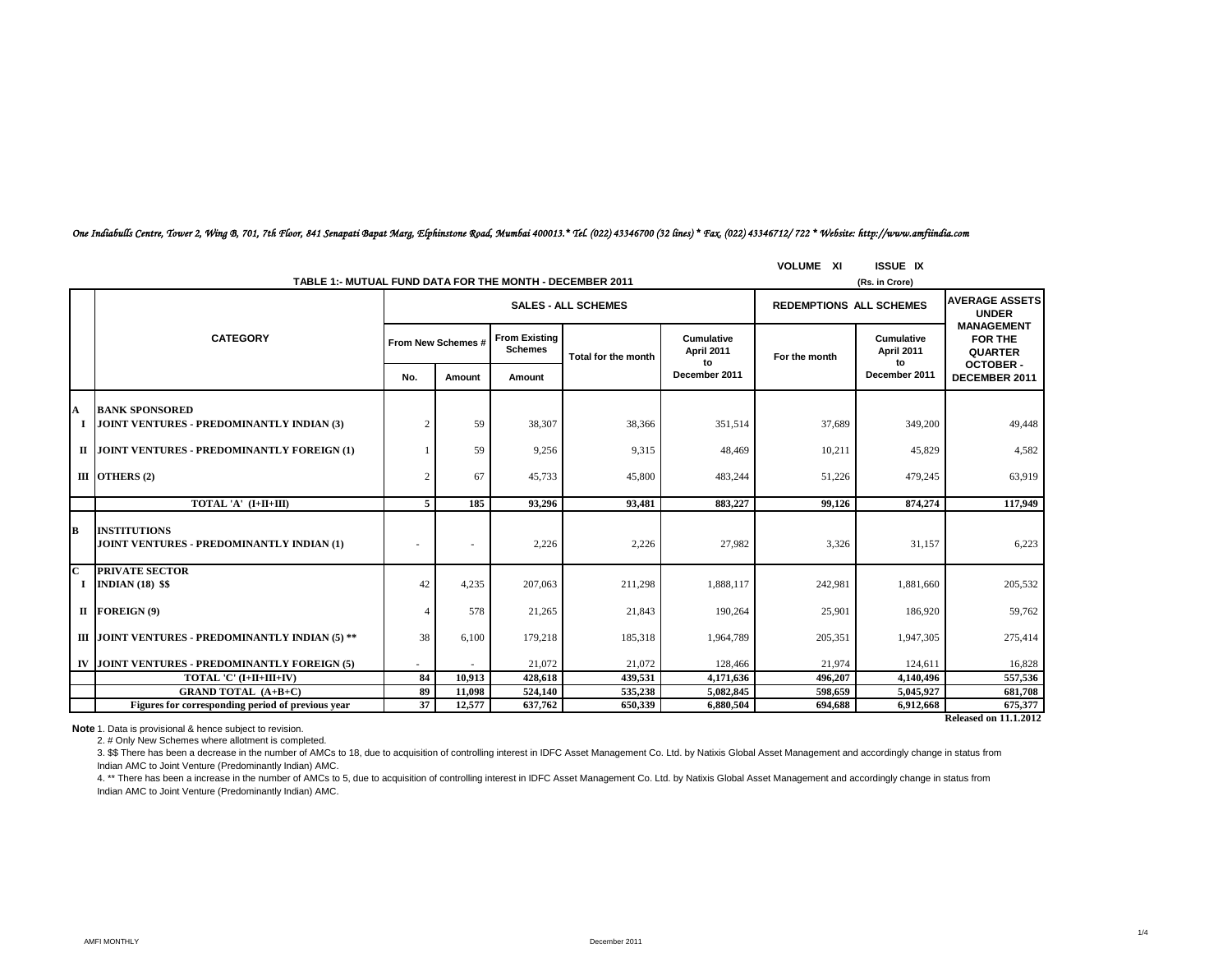|                         | TABLE 1:- MUTUAL FUND DATA FOR THE MONTH - DECEMBER 2011           |                |                    |         |                            | (Rs. in Crore)                 |                                |                                |                                                       |
|-------------------------|--------------------------------------------------------------------|----------------|--------------------|---------|----------------------------|--------------------------------|--------------------------------|--------------------------------|-------------------------------------------------------|
|                         | <b>CATEGORY</b>                                                    |                |                    |         | <b>SALES - ALL SCHEMES</b> |                                | <b>REDEMPTIONS ALL SCHEMES</b> |                                | <b>AVERAGE ASSETS</b><br><b>UNDER</b>                 |
|                         |                                                                    |                | From New Schemes # |         | Total for the month        | Cumulative<br>April 2011<br>to | For the month                  | Cumulative<br>April 2011<br>to | <b>MANAGEMENT</b><br><b>FOR THE</b><br><b>QUARTER</b> |
|                         |                                                                    |                | Amount             | Amount  |                            | December 2011                  |                                | December 2011                  | <b>OCTOBER-</b><br>DECEMBER 2011                      |
| $\mathbf A$             | <b>BANK SPONSORED</b><br>JOINT VENTURES - PREDOMINANTLY INDIAN (3) | $\overline{c}$ | 59                 | 38,307  | 38,366                     | 351,514                        | 37,689                         | 349,200                        | 49,448                                                |
|                         | II JOINT VENTURES - PREDOMINANTLY FOREIGN (1)                      |                | 59                 | 9,256   | 9,315                      | 48,469                         | 10,211                         | 45,829                         | 4,582                                                 |
|                         | III OTHERS $(2)$                                                   | 2              | 67                 | 45,733  | 45,800                     | 483,244                        | 51,226                         | 479,245                        | 63,919                                                |
|                         | TOTAL 'A' (I+II+III)                                               | 5              | 185                | 93.296  | 93.481                     | 883.227                        | 99.126                         | 874,274                        | 117,949                                               |
| B                       | <b>INSTITUTIONS</b><br>JOINT VENTURES - PREDOMINANTLY INDIAN (1)   |                |                    | 2,226   | 2,226                      | 27,982                         | 3,326                          | 31,157                         | 6,223                                                 |
| $\overline{\mathbf{c}}$ | <b>PRIVATE SECTOR</b><br>I INDIAN $(18)$ \$\$                      | 42             | 4,235              | 207,063 | 211,298                    | 1,888,117                      | 242,981                        | 1,881,660                      | 205,532                                               |
|                         | II FOREIGN (9)                                                     | $\overline{4}$ | 578                | 21,265  | 21,843                     | 190,264                        | 25,901                         | 186,920                        | 59,762                                                |
|                         | III JOINT VENTURES - PREDOMINANTLY INDIAN (5) **                   | 38             | 6,100              | 179,218 | 185,318                    | 1,964,789                      | 205,351                        | 1,947,305                      | 275,414                                               |
|                         | IV JOINT VENTURES - PREDOMINANTLY FOREIGN (5)                      |                |                    | 21,072  | 21,072                     | 128,466                        | 21.974                         | 124,611                        | 16,828                                                |
|                         | TOTAL 'C' (I+II+III+IV)                                            | 84             | 10,913             | 428,618 | 439,531                    | 4,171,636                      | 496.207                        | 4,140,496                      | 557,536                                               |
|                         | <b>GRAND TOTAL (A+B+C)</b>                                         | 89             | 11.098             | 524,140 | 535,238                    | 5,082,845                      | 598.659                        | 5,045,927                      | 681,708                                               |
|                         | Figures for corresponding period of previous year                  | 37             | 12,577             | 637,762 | 650,339                    | 6,880,504                      | 694,688                        | 6,912,668                      | 675,377                                               |
|                         |                                                                    |                |                    |         |                            |                                |                                |                                | <b>Released on 11.1.2012</b>                          |

### *One Indiabulls Centre, Tower 2, Wing B, 701, 7th Floor, 841 Senapati Bapat Marg, Elphinstone Road, Mumbai 400013.\* Tel. (022) 43346700 (32 lines) \* Fax. (022) 43346712/ 722 \* Website: http://www.amfiindia.com*

**VOLUME XI ISSUE IX**

**Note** 1. Data is provisional & hence subject to revision.

2. # Only New Schemes where allotment is completed.

3. \$\$ There has been a decrease in the number of AMCs to 18, due to acquisition of controlling interest in IDFC Asset Management Co. Ltd. by Natixis Global Asset Management and accordingly change in status from Indian AMC to Joint Venture (Predominantly Indian) AMC.

4. \*\* There has been a increase in the number of AMCs to 5, due to acquisition of controlling interest in IDFC Asset Management Co. Ltd. by Natixis Global Asset Management and accordingly change in status from Indian AMC to Joint Venture (Predominantly Indian) AMC.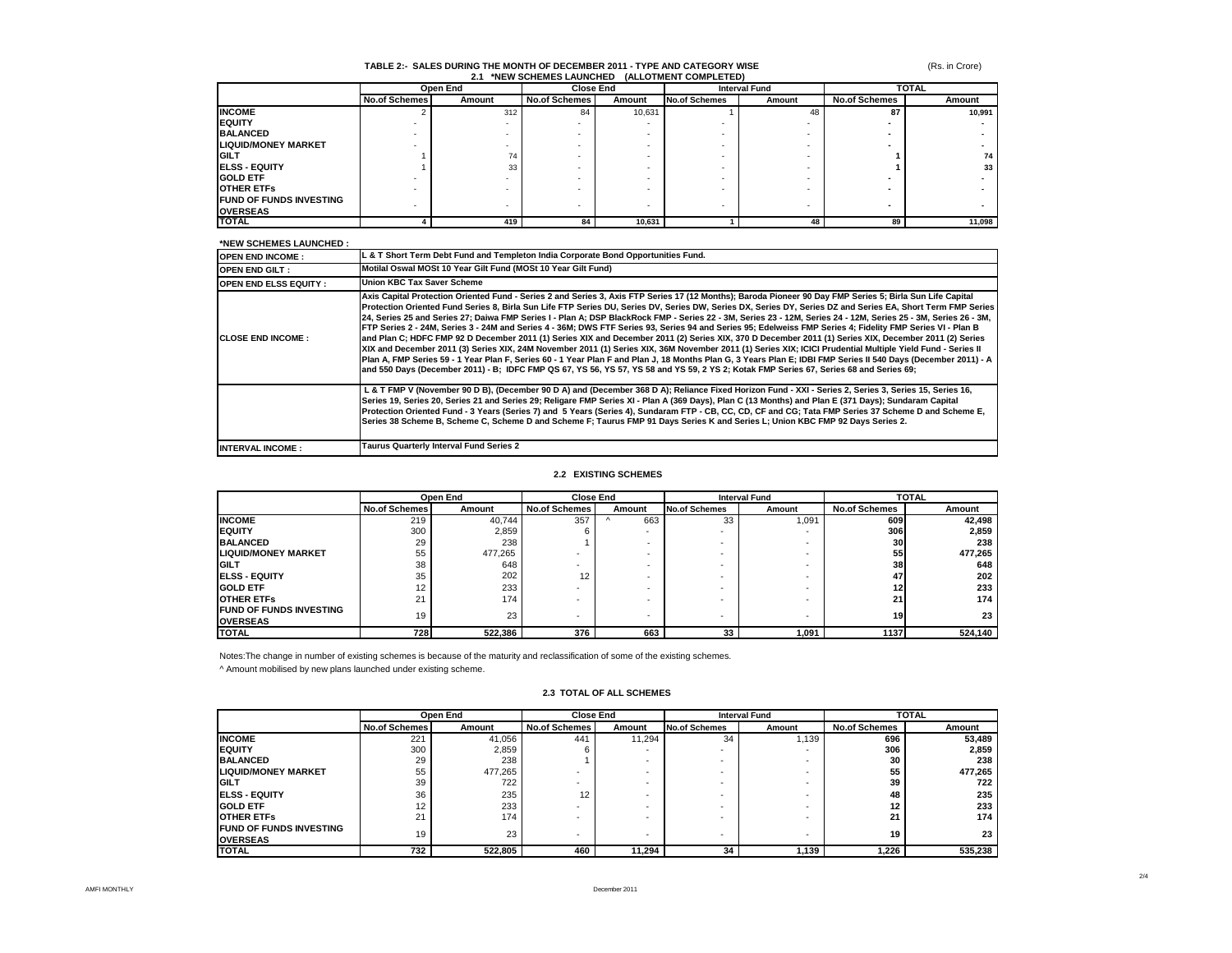#### **TABLE 2:- SALES DURING THE MONTH OF DECEMBER 2011 - TYPE AND CATEGORY WISE 2.1 \*NEW SCHEMES LAUNCHED (ALLOTMENT COMPLETED)**

(Rs. in Crore)

|                                |                      | Open End |                      | <b>Close End</b> |                      | <b>Interval Fund</b> | <b>TOTAL</b>         |                 |
|--------------------------------|----------------------|----------|----------------------|------------------|----------------------|----------------------|----------------------|-----------------|
|                                | <b>No.of Schemes</b> | Amount   | <b>No.of Schemes</b> | Amount           | <b>No.of Schemes</b> | Amount               | <b>No.of Schemes</b> | Amount          |
| <b>INCOME</b>                  |                      | 312      | 84                   | 10,631           |                      | 48                   | 87                   | 10.991          |
| <b>IEQUITY</b>                 |                      |          |                      |                  |                      |                      |                      |                 |
| <b>BALANCED</b>                |                      |          |                      |                  |                      |                      |                      |                 |
| <b>LIQUID/MONEY MARKET</b>     |                      |          |                      |                  |                      |                      |                      |                 |
| <b>IGILT</b>                   |                      | 74       |                      |                  |                      |                      |                      | 74              |
| <b>IELSS - EQUITY</b>          |                      | 33       |                      |                  |                      |                      |                      | 33 <sup>1</sup> |
| <b>GOLD ETF</b>                |                      |          |                      |                  |                      |                      |                      |                 |
| <b>OTHER ETFS</b>              |                      |          |                      |                  |                      |                      |                      |                 |
| <b>FUND OF FUNDS INVESTING</b> |                      |          |                      | ٠                |                      |                      |                      |                 |
| <b>OVERSEAS</b>                |                      |          |                      |                  |                      |                      |                      |                 |
| <b>ITOTAL</b>                  |                      | 419      | 84                   | 10.631           |                      | 48                   | 89                   | 11.098          |

## **\*NEW SCHEMES LAUNCHED :**

| <b>OPEN END INCOME:</b>      | L & T Short Term Debt Fund and Templeton India Corporate Bond Opportunities Fund.                                                                                                                                                                                                                                                                                                                                                                                                                                                                                                                                                                                                                                                                                                                                                                                                                                                                                                                                                                                                                                                                                                                                                                                                            |
|------------------------------|----------------------------------------------------------------------------------------------------------------------------------------------------------------------------------------------------------------------------------------------------------------------------------------------------------------------------------------------------------------------------------------------------------------------------------------------------------------------------------------------------------------------------------------------------------------------------------------------------------------------------------------------------------------------------------------------------------------------------------------------------------------------------------------------------------------------------------------------------------------------------------------------------------------------------------------------------------------------------------------------------------------------------------------------------------------------------------------------------------------------------------------------------------------------------------------------------------------------------------------------------------------------------------------------|
| <b>OPEN END GILT:</b>        | Motilal Oswal MOSt 10 Year Gilt Fund (MOSt 10 Year Gilt Fund)                                                                                                                                                                                                                                                                                                                                                                                                                                                                                                                                                                                                                                                                                                                                                                                                                                                                                                                                                                                                                                                                                                                                                                                                                                |
| <b>OPEN END ELSS EQUITY:</b> | <b>Union KBC Tax Saver Scheme</b>                                                                                                                                                                                                                                                                                                                                                                                                                                                                                                                                                                                                                                                                                                                                                                                                                                                                                                                                                                                                                                                                                                                                                                                                                                                            |
| <b>CLOSE END INCOME:</b>     | Axis Capital Protection Oriented Fund - Series 2 and Series 3, Axis FTP Series 17 (12 Months); Baroda Pioneer 90 Day FMP Series 5; Birla Sun Life Capital<br>Protection Oriented Fund Series 8, Birla Sun Life FTP Series DU, Series DV, Series DW, Series DX, Series DY, Series DZ and Series EA, Short Term FMP Series<br>24, Series 25 and Series 27; Daiwa FMP Series I - Plan A; DSP BlackRock FMP - Series 22 - 3M, Series 23 - 12M, Series 24 - 12M, Series 25 - 3M, Series 26 - 3M,<br>FTP Series 2 - 24M, Series 3 - 24M and Series 4 - 36M; DWS FTF Series 93, Series 94 and Series 95; Edelweiss FMP Series 4; Fidelity FMP Series VI - Plan B<br>and Plan C; HDFC FMP 92 D December 2011 (1) Series XIX and December 2011 (2) Series XIX, 370 D December 2011 (1) Series XIX, December 2011 (2) Series<br>XIX and December 2011 (3) Series XIX, 24M November 2011 (1) Series XIX, 36M November 2011 (1) Series XIX; ICICI Prudential Multiple Yield Fund - Series II<br>Plan A, FMP Series 59 - 1 Year Plan F, Series 60 - 1 Year Plan F and Plan J, 18 Months Plan G, 3 Years Plan E; IDBI FMP Series II 540 Days (December 2011) - A<br>and 550 Days (December 2011) - B; IDFC FMP QS 67, YS 56, YS 57, YS 58 and YS 59, 2 YS 2; Kotak FMP Series 67, Series 68 and Series 69; |
|                              | L & T FMP V (November 90 D B), (December 90 D A) and (December 368 D A); Reliance Fixed Horizon Fund - XXI - Series 2, Series 3, Series 15, Series 16,<br>Series 19, Series 20, Series 21 and Series 29; Religare FMP Series XI - Plan A (369 Days), Plan C (13 Months) and Plan E (371 Days); Sundaram Capital<br>Protection Oriented Fund - 3 Years (Series 7) and 5 Years (Series 4), Sundaram FTP - CB, CC, CD, CF and CG; Tata FMP Series 37 Scheme D and Scheme E,<br>Series 38 Scheme B, Scheme C, Scheme D and Scheme F; Taurus FMP 91 Days Series K and Series L; Union KBC FMP 92 Days Series 2.                                                                                                                                                                                                                                                                                                                                                                                                                                                                                                                                                                                                                                                                                   |
| <b>INTERVAL INCOME:</b>      | Taurus Quarterly Interval Fund Series 2                                                                                                                                                                                                                                                                                                                                                                                                                                                                                                                                                                                                                                                                                                                                                                                                                                                                                                                                                                                                                                                                                                                                                                                                                                                      |

### **2.2 EXISTING SCHEMES**

|                                |                      | Open End |                      | <b>Close End</b><br><b>Interval Fund</b> |                      | <b>TOTAL</b> |                      |         |
|--------------------------------|----------------------|----------|----------------------|------------------------------------------|----------------------|--------------|----------------------|---------|
|                                | <b>No.of Schemes</b> | Amount   | <b>No.of Schemes</b> | Amount                                   | <b>No.of Schemes</b> | Amount       | <b>No.of Schemes</b> | Amount  |
| <b>INCOME</b>                  | 219                  | 40.744   | 357                  | 663                                      | 33                   | 1,091        | 609                  | 42,498  |
| <b>IEQUITY</b>                 | 300                  | 2,859    |                      |                                          | $\sim$               | <b>.</b>     | 306                  | 2,859   |
| <b>BALANCED</b>                | 29                   | 238      |                      |                                          | -                    | -            | 30                   | 238     |
| <b>LIQUID/MONEY MARKET</b>     | 55                   | 477,265  |                      | ۰                                        | $\sim$               | <b>.</b>     | 55                   | 477,265 |
| <b>IGILT</b>                   | 38                   | 648      |                      | ۰                                        | -                    | -            | 38                   | 648     |
| <b>IELSS - EQUITY</b>          | 35                   | 202      | 12                   | ۰                                        | -                    | -            | 47                   | 202     |
| <b>GOLD ETF</b>                | 12                   | 233      |                      |                                          | -                    |              | 12                   | 233     |
| <b>OTHER ETFS</b>              | 21                   | 174      |                      | -                                        |                      |              | 21                   | 174     |
| <b>FUND OF FUNDS INVESTING</b> | 19                   | 23       |                      | ۰                                        |                      |              | 19 <sup>1</sup>      | 23      |
| <b>OVERSEAS</b>                |                      |          |                      |                                          | -                    |              |                      |         |
| <b>TOTAL</b>                   | 728                  | 522,386  | 376                  | 663                                      | 33                   | 1,091        | 1137                 | 524,140 |

Notes:The change in number of existing schemes is because of the maturity and reclassification of some of the existing schemes.

^ Amount mobilised by new plans launched under existing scheme.

### **2.3 TOTAL OF ALL SCHEMES**

|                                                   | Open End             |         | <b>Close End</b>         |        | <b>Interval Fund</b>     |        | <b>TOTAL</b>         |         |
|---------------------------------------------------|----------------------|---------|--------------------------|--------|--------------------------|--------|----------------------|---------|
|                                                   | <b>No.of Schemes</b> | Amount  | <b>No.of Schemes</b>     | Amount | <b>No.of Schemes</b>     | Amount | <b>No.of Schemes</b> | Amount  |
| <b>INCOME</b>                                     | 221                  | 41,056  | 441                      | 11.294 | 34                       | 1.139  | 696                  | 53.489  |
| <b>IEQUITY</b>                                    | 300                  | 2,859   |                          |        |                          |        | 306                  | 2,859   |
| <b>BALANCED</b>                                   | 29                   | 238     |                          |        |                          |        | 30                   | 238     |
| <b>LIQUID/MONEY MARKET</b>                        | 55                   | 477,265 |                          |        |                          |        | 55                   | 477,265 |
| <b>IGILT</b>                                      | 39                   | 722     |                          |        |                          |        | 39                   | 722     |
| <b>IELSS - EQUITY</b>                             | 36                   | 235     | 12                       |        |                          |        | 48                   | 235     |
| <b>GOLD ETF</b>                                   | 12                   | 233     |                          |        |                          |        | 12 <sub>1</sub>      | 233     |
| <b>OTHER ETFS</b>                                 | 21                   | 174     |                          |        |                          |        | 21                   | 174     |
| <b>FUND OF FUNDS INVESTING</b><br><b>OVERSEAS</b> | 19                   | 23      | $\overline{\phantom{0}}$ |        | $\overline{\phantom{0}}$ | -      | 19                   | 23      |
| <b>TOTAL</b>                                      | 732                  | 522.805 | 460                      | 11.294 | 34                       | 1.139  | 1,226                | 535,238 |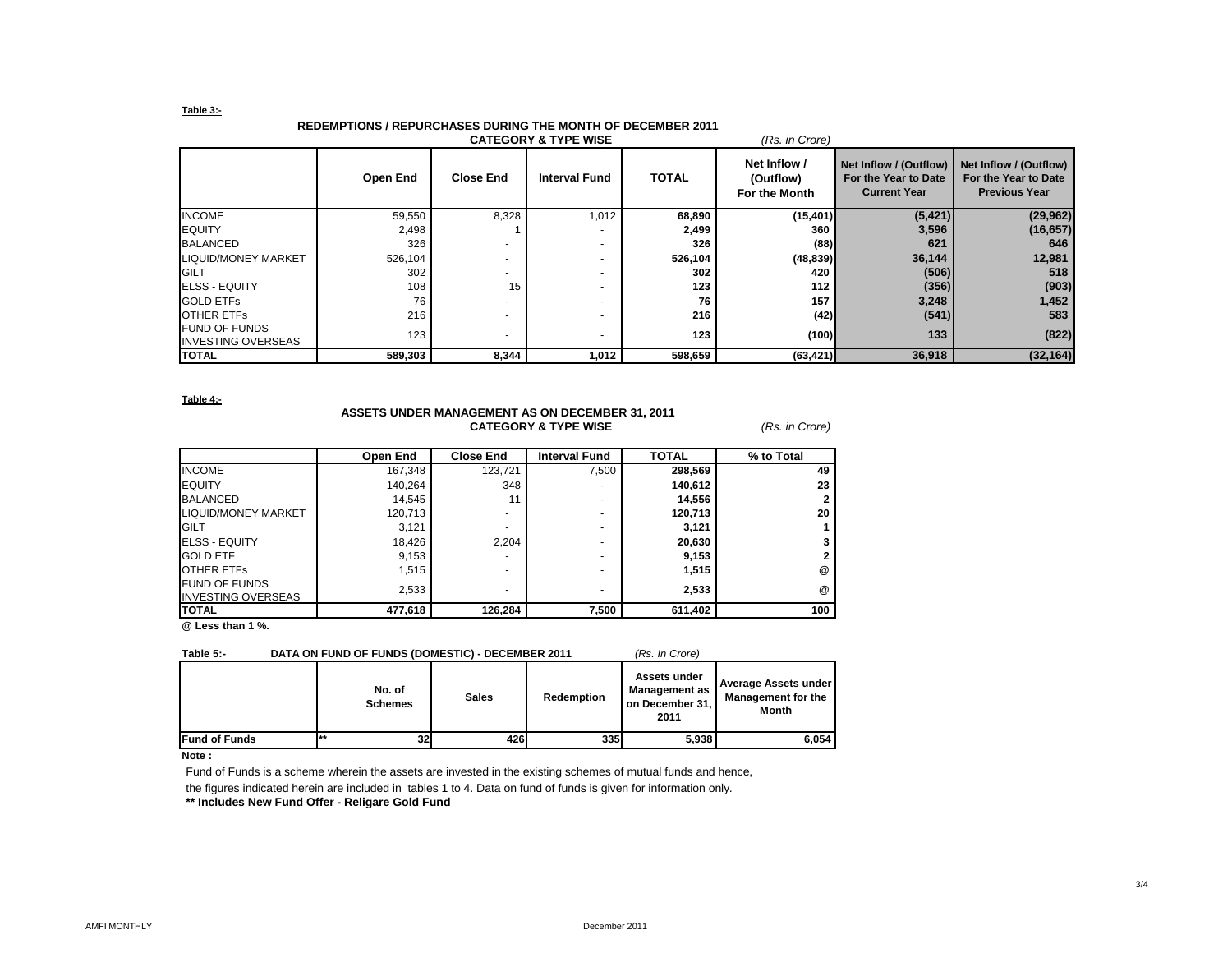### **Table 3:-**

# **REDEMPTIONS / REPURCHASES DURING THE MONTH OF DECEMBER 2011**

| <b>CATEGORY &amp; TYPE WISE</b><br>(Rs. in Crore) |          |                  |                      |              |                                            |                                                                       |                                                                        |
|---------------------------------------------------|----------|------------------|----------------------|--------------|--------------------------------------------|-----------------------------------------------------------------------|------------------------------------------------------------------------|
|                                                   | Open End | <b>Close End</b> | <b>Interval Fund</b> | <b>TOTAL</b> | Net Inflow /<br>(Outflow)<br>For the Month | Net Inflow / (Outflow)<br>For the Year to Date<br><b>Current Year</b> | Net Inflow / (Outflow)<br>For the Year to Date<br><b>Previous Year</b> |
| <b>INCOME</b>                                     | 59,550   | 8,328            | 1,012                | 68,890       | (15, 401)                                  | (5, 421)                                                              | (29, 962)                                                              |
| <b>IEQUITY</b>                                    | 2,498    |                  |                      | 2,499        | 360                                        | 3,596                                                                 | (16, 657)                                                              |
| <b>BALANCED</b>                                   | 326      |                  |                      | 326          | (88)                                       | 621                                                                   | 646                                                                    |
| LIQUID/MONEY MARKET                               | 526,104  | -                |                      | 526,104      | (48, 839)                                  | 36,144                                                                | 12,981                                                                 |
| <b>GILT</b>                                       | 302      |                  |                      | 302          | 420                                        | (506)                                                                 | 518                                                                    |
| <b>ELSS - EQUITY</b>                              | 108      | 15               |                      | 123          | 112                                        | (356)                                                                 | (903)                                                                  |
| <b>GOLD ETFS</b>                                  | 76       |                  |                      | 76           | 157                                        | 3,248                                                                 | 1,452                                                                  |
| <b>OTHER ETFS</b>                                 | 216      |                  |                      | 216          | (42)                                       | (541)                                                                 | 583                                                                    |
| <b>FUND OF FUNDS</b><br><b>INVESTING OVERSEAS</b> | 123      | -                |                      | 123          | (100)                                      | 133                                                                   | (822)                                                                  |
| <b>TOTAL</b>                                      | 589,303  | 8,344            | 1,012                | 598,659      | (63, 421)                                  | 36,918                                                                | (32, 164)                                                              |

**Table 4:-**

### **ASSETS UNDER MANAGEMENT AS ON DECEMBER 31, 2011 CATEGORY & TYPE WISE** *(Rs. in Crore)*

|                                                   | Open End | <b>Close End</b> | <b>Interval Fund</b> | <b>TOTAL</b> | % to Total           |
|---------------------------------------------------|----------|------------------|----------------------|--------------|----------------------|
| <b>INCOME</b>                                     | 167,348  | 123,721          | 7,500                | 298,569      | 49                   |
| <b>EQUITY</b>                                     | 140,264  | 348              | ۰                    | 140,612      | 23                   |
| <b>BALANCED</b>                                   | 14,545   | 11               | ۰                    | 14,556       |                      |
| LIQUID/MONEY MARKET                               | 120,713  |                  | ۰.                   | 120,713      | 20                   |
| <b>GILT</b>                                       | 3,121    |                  | ۰.                   | 3,121        |                      |
| <b>IELSS - EQUITY</b>                             | 18,426   | 2,204            | ۰.                   | 20,630       |                      |
| <b>GOLD ETF</b>                                   | 9,153    | ۰                | ۰                    | 9,153        |                      |
| <b>OTHER ETFS</b>                                 | 1,515    | -                | ۰                    | 1,515        | @                    |
| <b>FUND OF FUNDS</b><br><b>INVESTING OVERSEAS</b> | 2,533    |                  | ٠                    | 2,533        | $^{\textregistered}$ |
| <b>TOTAL</b>                                      | 477,618  | 126,284          | 7,500                | 611,402      | 100                  |

**@ Less than 1 %.**

### **Table 5:- DATA ON FUND OF FUNDS (DOMESTIC) - DECEMBER 2011** *(Rs. In Crore)*

|                      | No. of<br><b>Schemes</b> | <b>Sales</b> | Redemption | Assets under<br><b>Management as</b><br>on December 31,<br>2011 | Average Assets under<br><b>Management for the</b><br>Month |
|----------------------|--------------------------|--------------|------------|-----------------------------------------------------------------|------------------------------------------------------------|
| <b>Fund of Funds</b> | **<br>32                 | 426          | 335        | 5,938                                                           | 6.054                                                      |

### **Note :**

Fund of Funds is a scheme wherein the assets are invested in the existing schemes of mutual funds and hence,

the figures indicated herein are included in tables 1 to 4. Data on fund of funds is given for information only.

**\*\* Includes New Fund Offer - Religare Gold Fund**